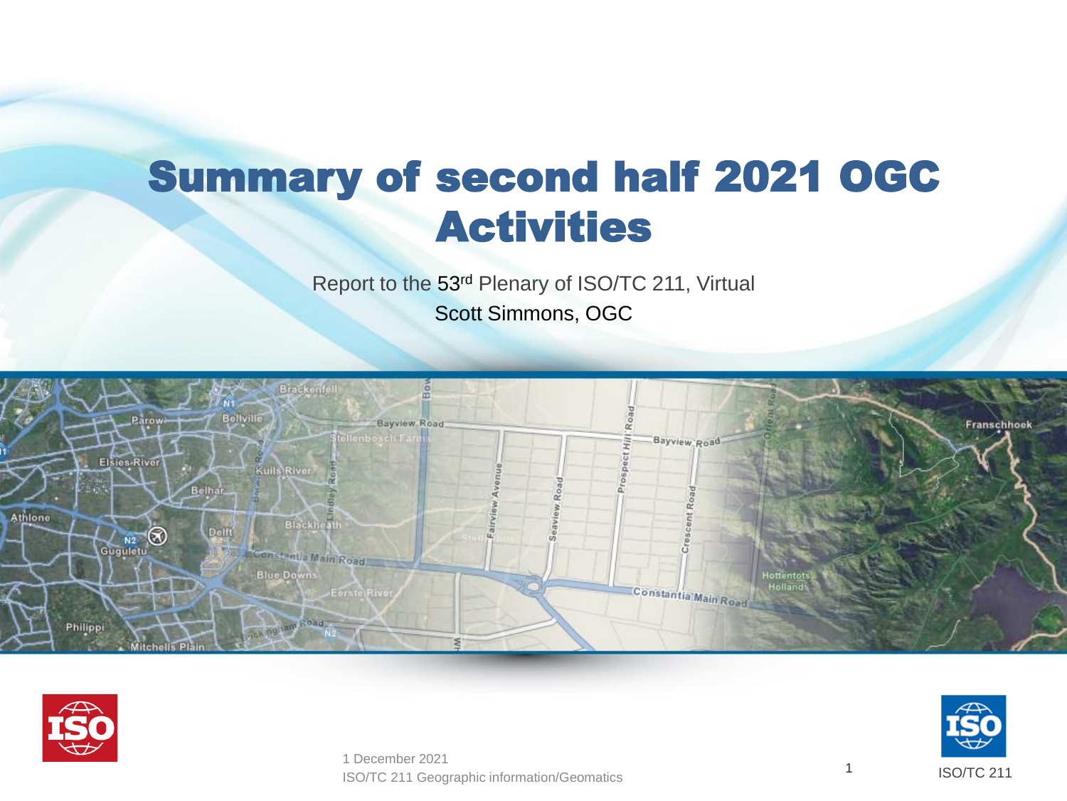## Summary of second half 2021 OGC Activities

Report to the 53rd Plenary of ISO/TC 211, Virtual Scott Simmons, OGC







ISO/TC 211 Geographic information/Geomatics 1 1 December 2021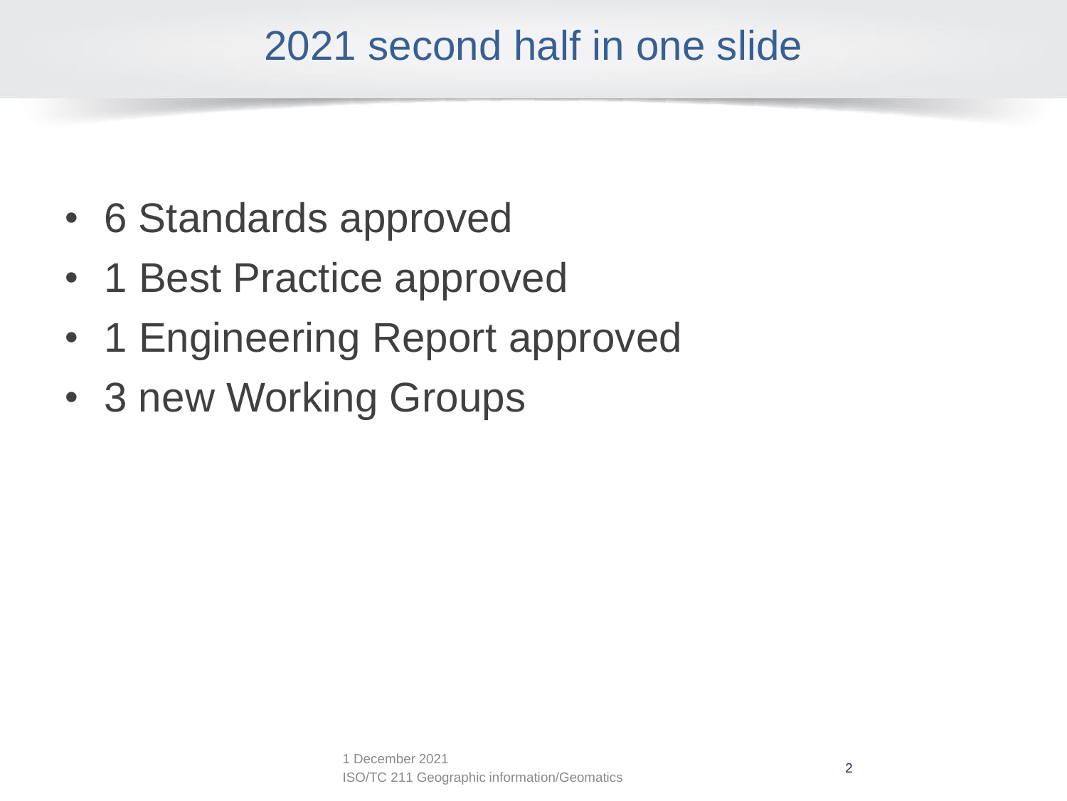### 2021 second half in one slide

- 6 Standards approved
- 1 Best Practice approved
- 1 Engineering Report approved
- 3 new Working Groups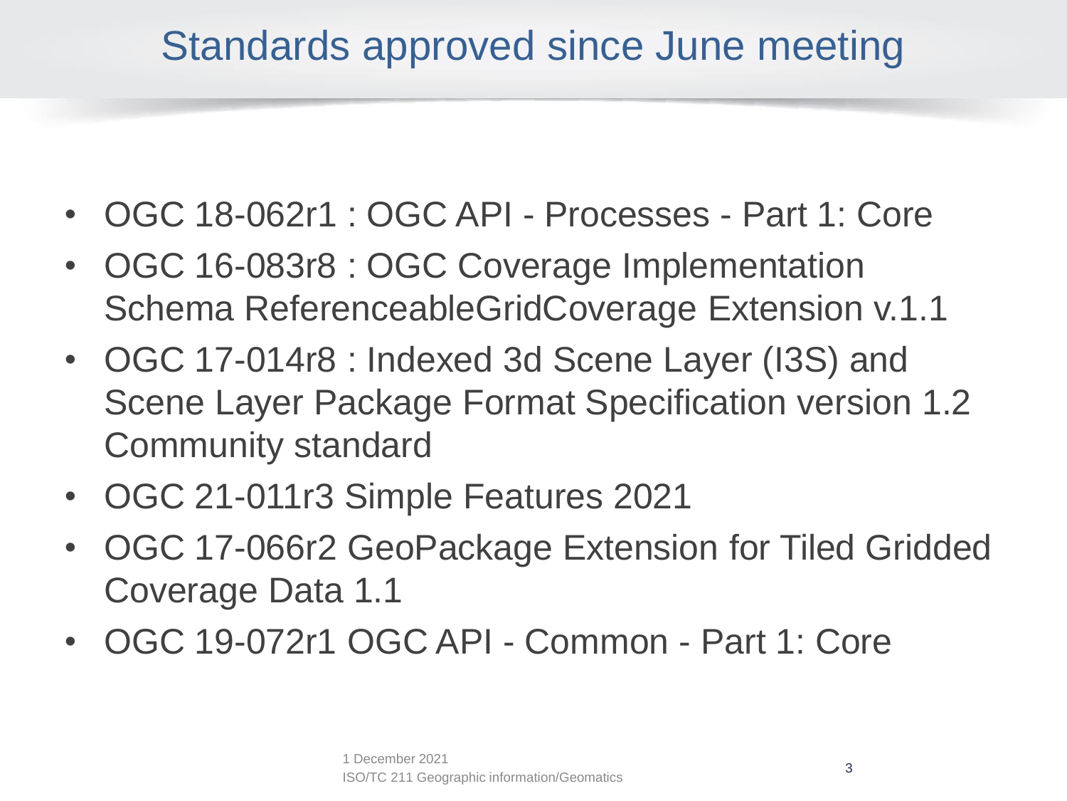### Standards approved since June meeting

- OGC 18-062r1 : OGC API Processes Part 1: Core
- OGC 16-083r8 : OGC Coverage Implementation Schema ReferenceableGridCoverage Extension v.1.1
- OGC 17-014r8 : Indexed 3d Scene Layer (I3S) and Scene Layer Package Format Specification version 1.2 Community standard
- OGC 21-011r3 Simple Features 2021
- OGC 17-066r2 GeoPackage Extension for Tiled Gridded Coverage Data 1.1
- OGC 19-072r1 OGC API Common Part 1: Core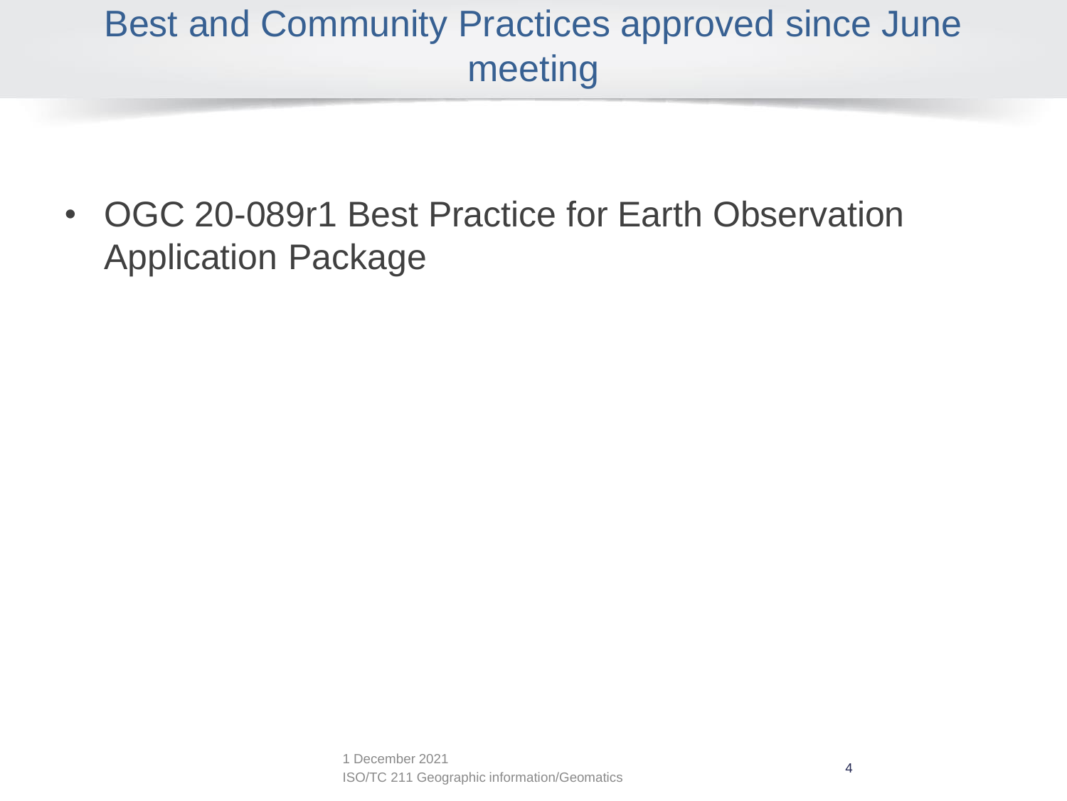#### Best and Community Practices approved since June meeting

• OGC 20-089r1 Best Practice for Earth Observation Application Package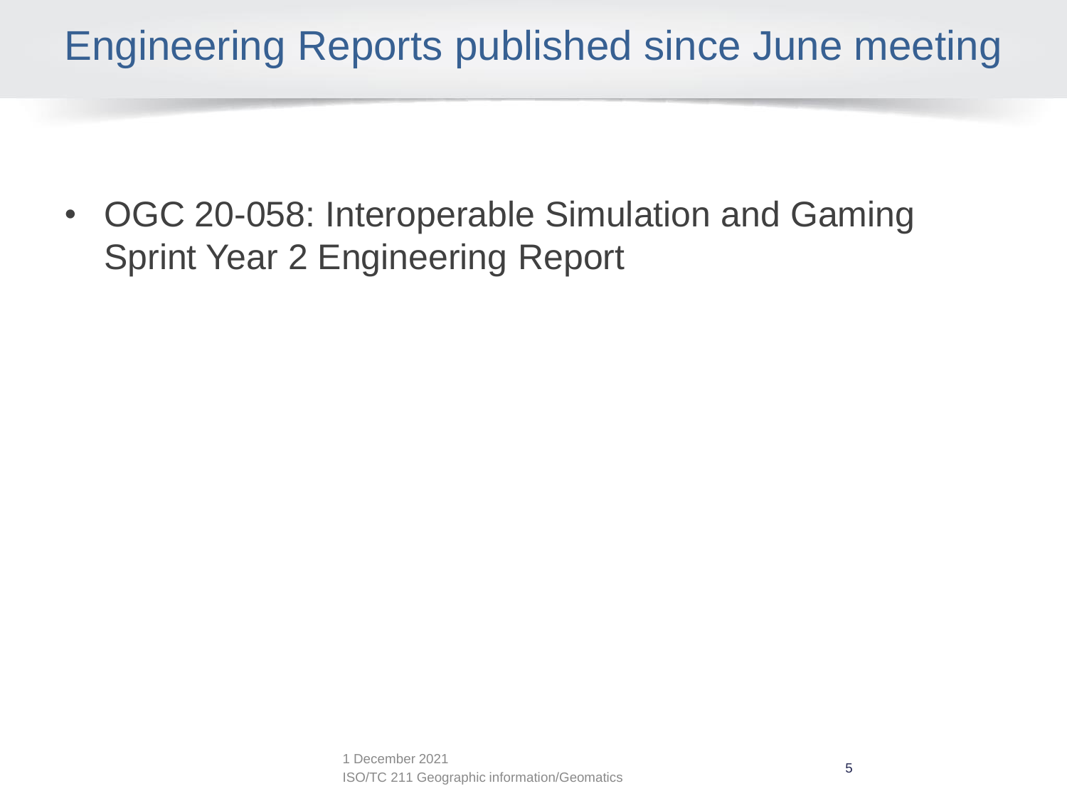### Engineering Reports published since June meeting

• OGC 20-058: Interoperable Simulation and Gaming Sprint Year 2 Engineering Report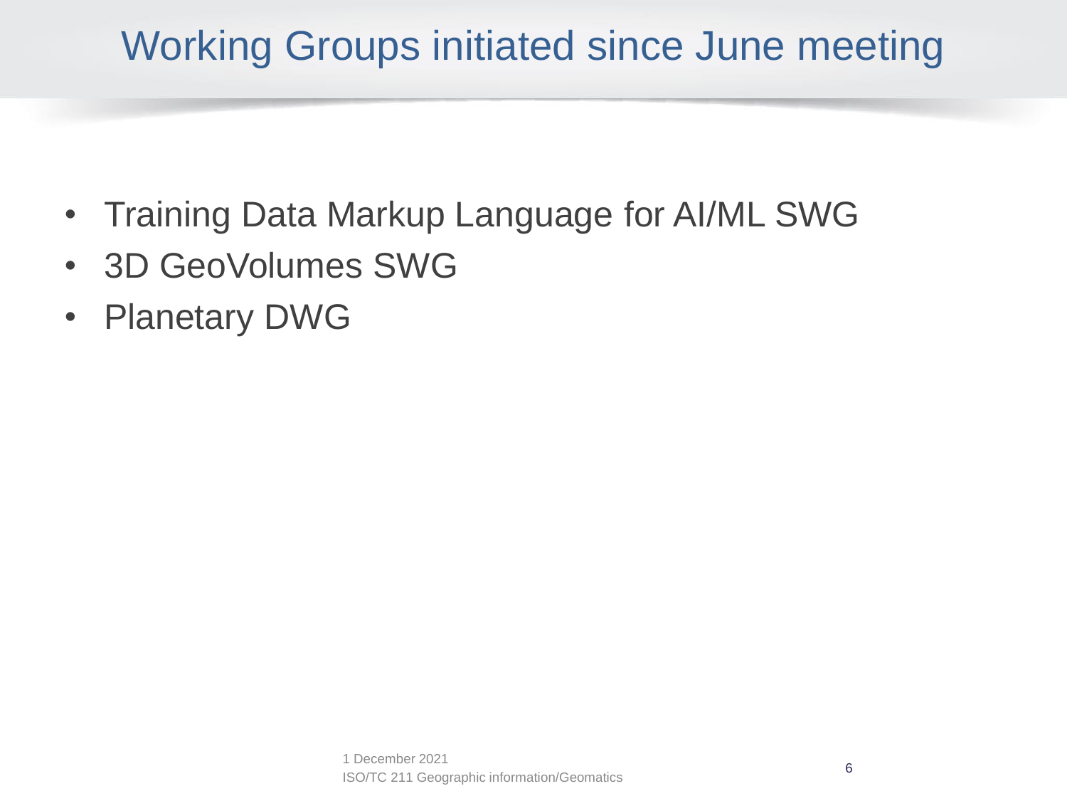## Working Groups initiated since June meeting

- Training Data Markup Language for AI/ML SWG
- 3D GeoVolumes SWG
- Planetary DWG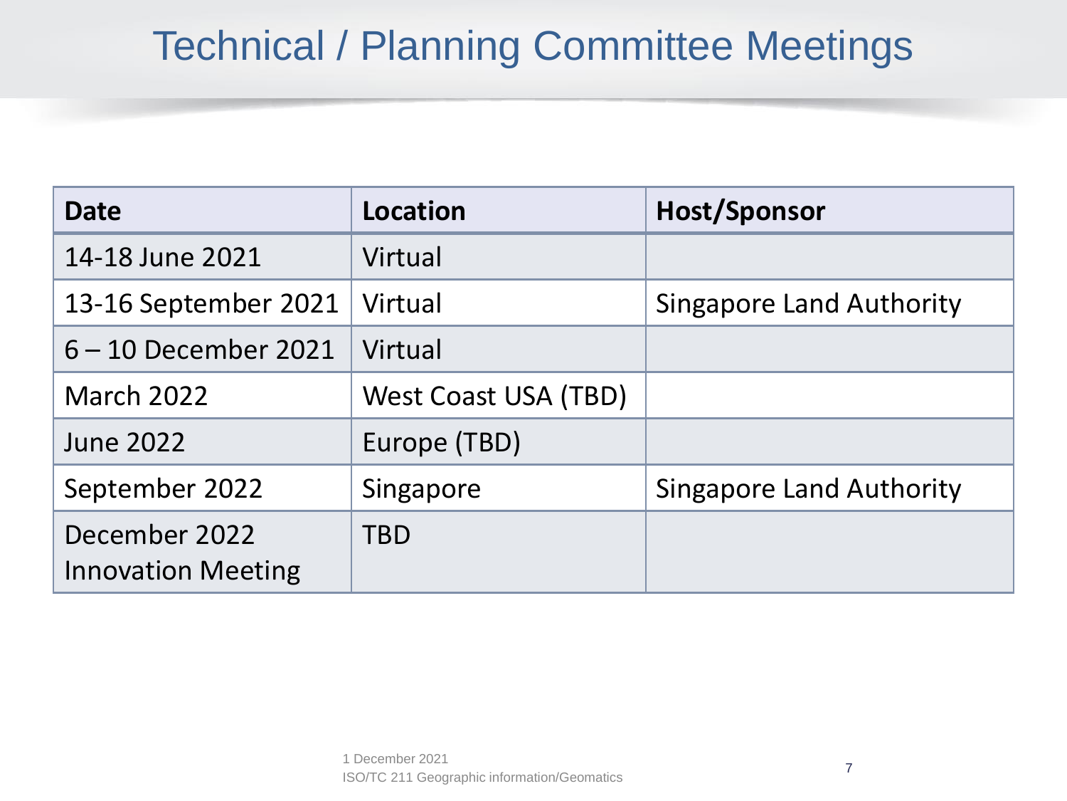### Technical / Planning Committee Meetings

| <b>Date</b>                                | Location             | <b>Host/Sponsor</b>             |
|--------------------------------------------|----------------------|---------------------------------|
| 14-18 June 2021                            | Virtual              |                                 |
| 13-16 September 2021                       | Virtual              | <b>Singapore Land Authority</b> |
| $6 - 10$ December 2021                     | Virtual              |                                 |
| <b>March 2022</b>                          | West Coast USA (TBD) |                                 |
| <b>June 2022</b>                           | Europe (TBD)         |                                 |
| September 2022                             | Singapore            | <b>Singapore Land Authority</b> |
| December 2022<br><b>Innovation Meeting</b> | <b>TBD</b>           |                                 |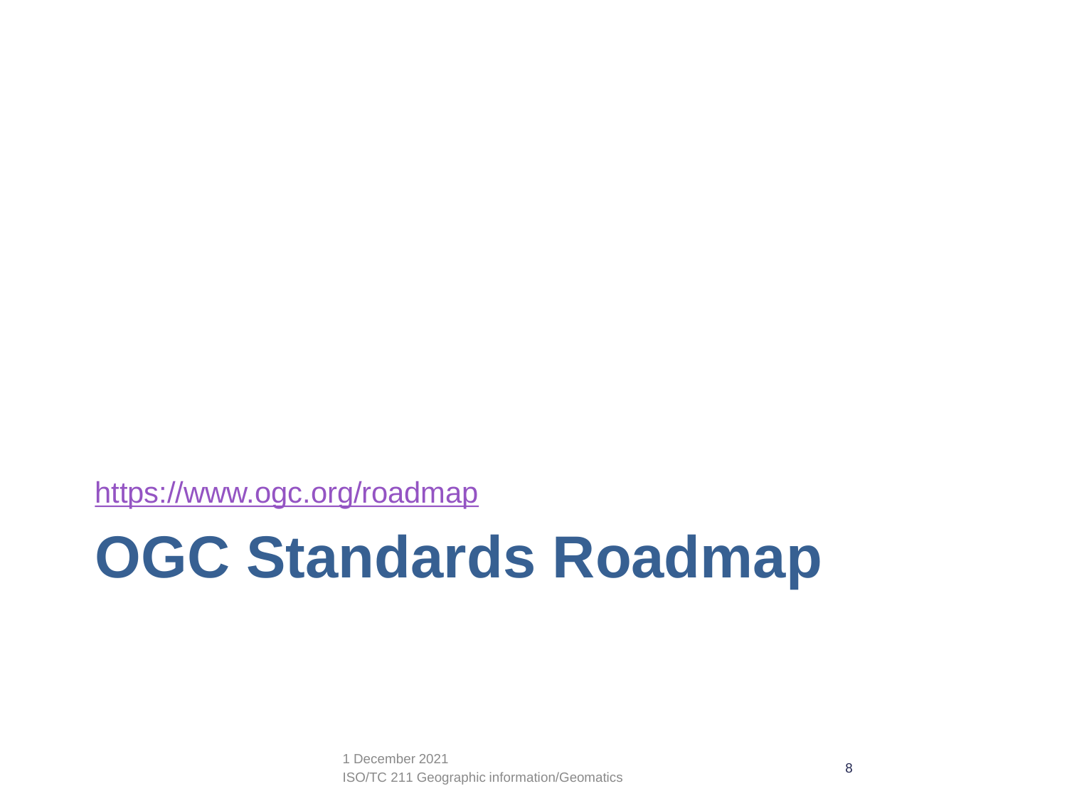<https://www.ogc.org/roadmap>

# **OGC Standards Roadmap**

ISO/TC 211 Geographic information/Geomatics <sup>8</sup> 1 December 2021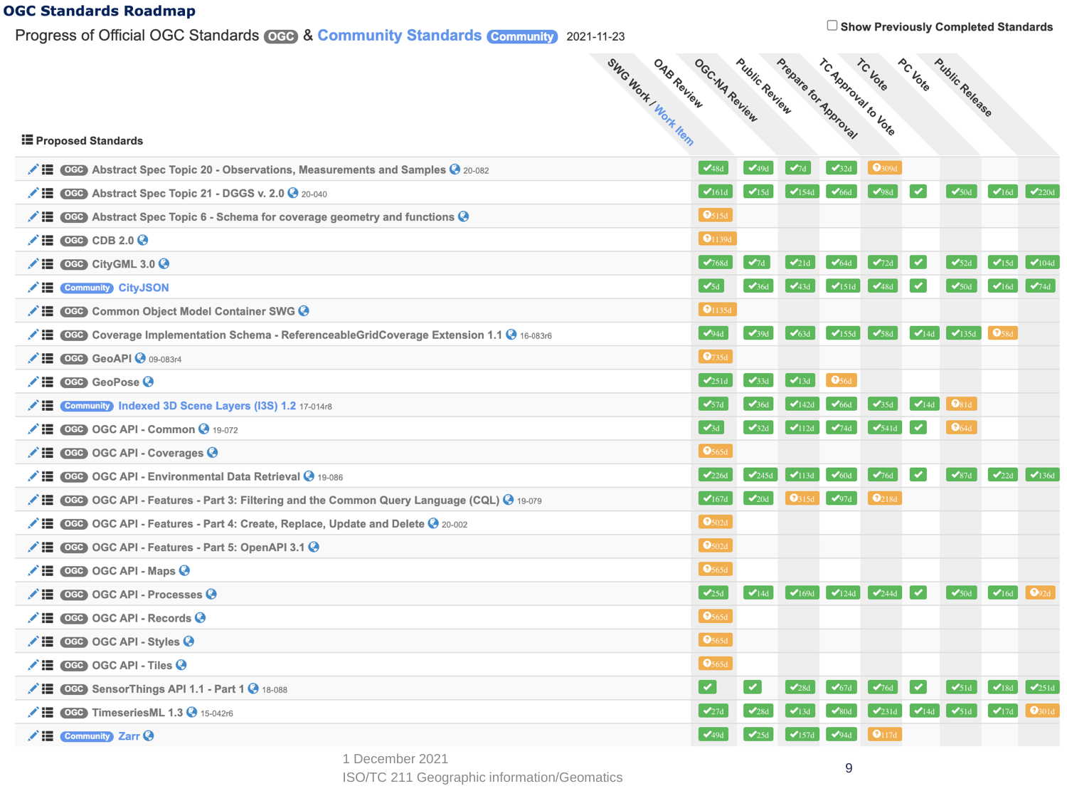#### **OGC Standards Roadmap**

Progress of Official OGC Standards CCO & Community Standards Community 2021-11-23

| Public Review<br><b>PC Vote</b><br><b>Public Release</b><br>OGC-NA Review<br>OAB Review |  |
|-----------------------------------------------------------------------------------------|--|
| Prepare for Approval<br>TC Approval to Vote<br>SWG Work / Work Hern                     |  |
|                                                                                         |  |

#### **i≣** Proposed Standards

|    | ∴ I CCD Abstract Spec Topic 20 - Observations, Measurements and Samples ● 20-082             | $\sqrt{48d}$               | $\blacktriangledown_{490}$ | $\blacktriangledown_d$      | $\sqrt{32d}$               | $\mathbf{Q}_{309d}$            |              |                            |                           |                     |
|----|----------------------------------------------------------------------------------------------|----------------------------|----------------------------|-----------------------------|----------------------------|--------------------------------|--------------|----------------------------|---------------------------|---------------------|
|    | $\bigtriangledown$ $\blacksquare$ CGC Abstract Spec Topic 21 - DGGS v. 2.0 $\bigcirc$ 20-040 | $\bigvee$ 161d             | $\mathbf{V}$ 15d           | $\blacktriangledown$ 154d   | $\blacktriangledown_{66d}$ | $\mathcal{Q}_{98d}$            | ✓            | $\sqrt{50}$ d              | $\sqrt{16d}$              | $\sqrt{220d}$       |
| ╱≔ | OGO Abstract Spec Topic 6 - Schema for coverage geometry and functions $\odot$               | $\boxed{\Theta}$ 515d      |                            |                             |                            |                                |              |                            |                           |                     |
|    | $\triangle$ E code CDB 2.0 $\odot$                                                           | $Q_{1139d}$                |                            |                             |                            |                                |              |                            |                           |                     |
|    | $\bigvee$ $\blacksquare$ OGC CityGML 3.0 $\bigodot$                                          | $\sqrt{768d}$              | $\mathcal{A}_{7d}$         | $\sqrt{21d}$                | $\blacktriangledown_{64d}$ | $\blacktriangledown_{2d}$      | $\checkmark$ | $\sqrt{52}$                | $\sqrt{15d}$              | $\sqrt{104d}$       |
|    | <b>∕ IE</b> Community CityJSON                                                               | $\sqrt{5d}$                | $\sqrt{36d}$               | $\blacktriangledown$ 43d    | $\sqrt{151d}$              | $\blacktriangledown_{\rm 48d}$ | $\checkmark$ | $\sqrt{50}$ d              | $\blacktriangleright$ 16d | $\sqrt{74d}$        |
|    | VE ©GG Common Object Model Container SWG ♦                                                   | $Q_{1135d}$                |                            |                             |                            |                                |              |                            |                           |                     |
|    | CGO Coverage Implementation Schema - ReferenceableGridCoverage Extension 1.1 + 16-083r6      | $\vee$ 94d                 | $\sqrt{39d}$               | $\blacktriangleright$ 63d   | $\blacktriangledown$ 155d  | $\sqrt{58d}$                   | $\sqrt{14d}$ | $\frac{1}{2}$ 135d         | $\bullet$ <sub>58d</sub>  |                     |
|    | $\bigvee$ $\blacksquare$ OGC GeoAPI $\bigcirc$ 09-083r4                                      | $\theta$ 735d              |                            |                             |                            |                                |              |                            |                           |                     |
|    | $\bigvee$ $\blacksquare$ OGO GeoPose $\bigcirc$                                              | $\sqrt{251d}$              | $\sqrt{33d}$               | $\blacktriangleright$ 13d   | $\bullet$ <sub>56d</sub>   |                                |              |                            |                           |                     |
| ╱≔ | <b>Community Indexed 3D Scene Layers (I3S) 1.2 17-014r8</b>                                  | $\sqrt{57d}$               |                            | $\blacktriangledown$ 142d   |                            | $\sqrt{35d}$                   | $\sqrt{14d}$ | $\odot$ <sub>81d</sub>     |                           |                     |
| ╱≔ | OGC OGC API - Common 3 19-072                                                                | $\sqrt{3d}$                | $\sqrt{32d}$               | $\blacktriangledown$ 112d   | $\sqrt{74d}$               | $\sqrt{541d}$                  | $\checkmark$ | $\mathbf{0}_{64d}$         |                           |                     |
|    | Dec OGC API - Coverages →                                                                    | $\boxed{\phantom{0}9565d}$ |                            |                             |                            |                                |              |                            |                           |                     |
|    | <b>/ IE CGB</b> OGC API - Environmental Data Retrieval <b>⊙</b> 19-086                       | $\rightarrow$ 226d         | $\mathcal{L}$ 245d         | $\blacktriangledown$ 113d   | $\blacktriangleright$ 60d  | $\sqrt{76d}$                   | $\checkmark$ | $\sqrt{87}$                | $\mathcal{V}_{22d}$       | $\sqrt{136d}$       |
| ╱≔ | CCC OGC API - Features - Part 3: Filtering and the Common Query Language (CQL) @ 19-079      | $\sqrt{167d}$              | $\mathcal{L}_{20d}$        | $Q_{315d}$                  | $\sqrt{97d}$               | Q <sub>218d</sub>              |              |                            |                           |                     |
|    | √ I CCO OGC API - Features - Part 4: Create, Replace, Update and Delete + 20-002             | $\bigcirc$ 502d            |                            |                             |                            |                                |              |                            |                           |                     |
| ╱≔ | OGC OGC API - Features - Part 5: OpenAPI 3.1 @                                               | $\bigcirc$ 502d            |                            |                             |                            |                                |              |                            |                           |                     |
|    | $\bigvee$ $\blacksquare$ CGO OGC API - Maps $\bigcirc$                                       | $\bigcirc$ 565d            |                            |                             |                            |                                |              |                            |                           |                     |
| ╱≔ | OGG OGC API - Processes                                                                      | $\frac{1}{25d}$            | $\sqrt{14d}$               | $\blacktriangledown_{169d}$ | $\blacktriangleright$ 124d | $\sqrt{244d}$                  | $\checkmark$ | $\sqrt{50}$ d              | $\sqrt{16d}$              | $Q_{92d}$           |
| ╱≔ | OGG OGC API - Records                                                                        | $\bigcirc$ 565d            |                            |                             |                            |                                |              |                            |                           |                     |
| ╱≔ | OGG OGC API - Styles @                                                                       | $\bigcirc$ 565d            |                            |                             |                            |                                |              |                            |                           |                     |
|    | $\bigvee$ $\blacksquare$ OGC OGC API - Tiles $\bigcirc$                                      | $\theta$ 565d              |                            |                             |                            |                                |              |                            |                           |                     |
| ╱≔ | OGC SensorThings API 1.1 - Part 1 2 18-088                                                   | ✓                          | ✓                          | $\mathcal{L}_{28d}$         | $\mathcal{I}_{670}$        | $\mathcal{V}_{76d}$            |              | $\mathcal{S}_{51}$         | $\mathcal{V}$ 18d         | $\sqrt{251d}$       |
| ╱≔ | OGC TimeseriesML 1.3 3 15-042r6                                                              |                            |                            | $\mathbf{V}$ 13d            |                            | $\sqrt{231d}$                  | $\sqrt{14d}$ | $\blacktriangledown_{51d}$ | $\sqrt{17d}$              | $\mathbf{Q}_{301d}$ |
|    | $\angle E$ Community Zarr $\odot$                                                            | $\sqrt{49d}$               | $\mathcal{V}_{25d}$        | $\blacktriangledown$ 157d   | $\sqrt{94d}$               | $Q_{117d}$                     |              |                            |                           |                     |

1 December 2021

ISO/TC 211 Geographic information/Geomatics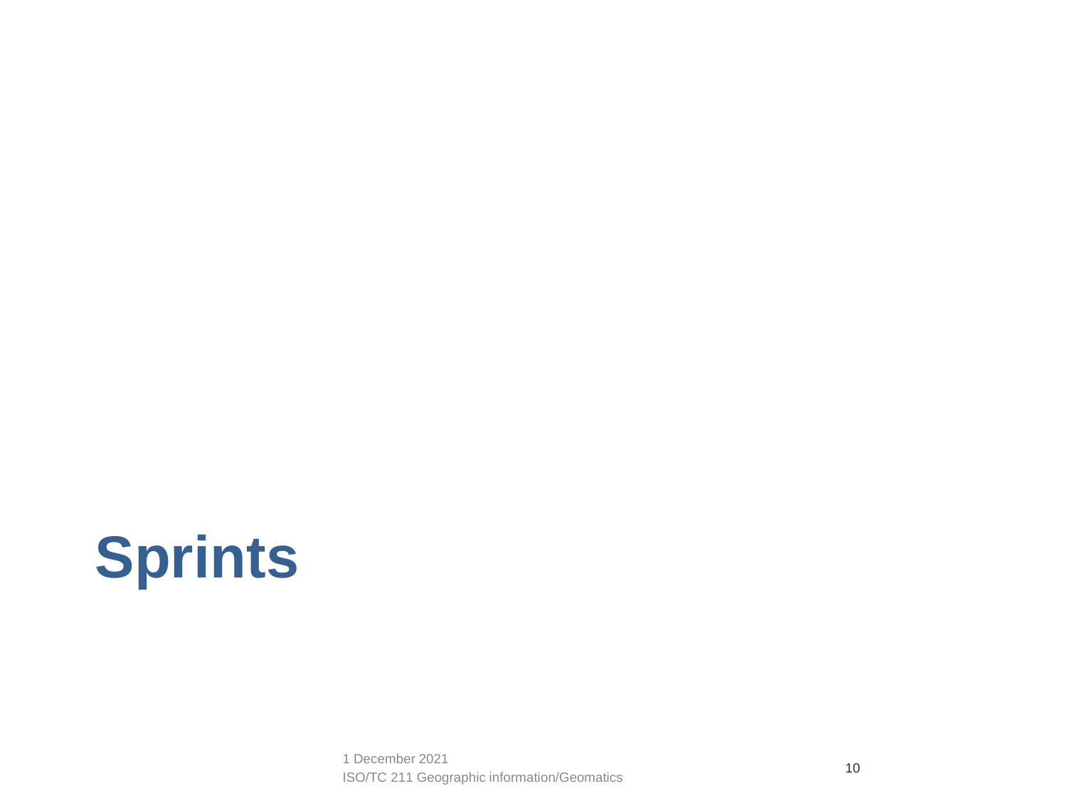# **Sprints**

ISO/TC 211 Geographic information/Geomatics 10 1 December 2021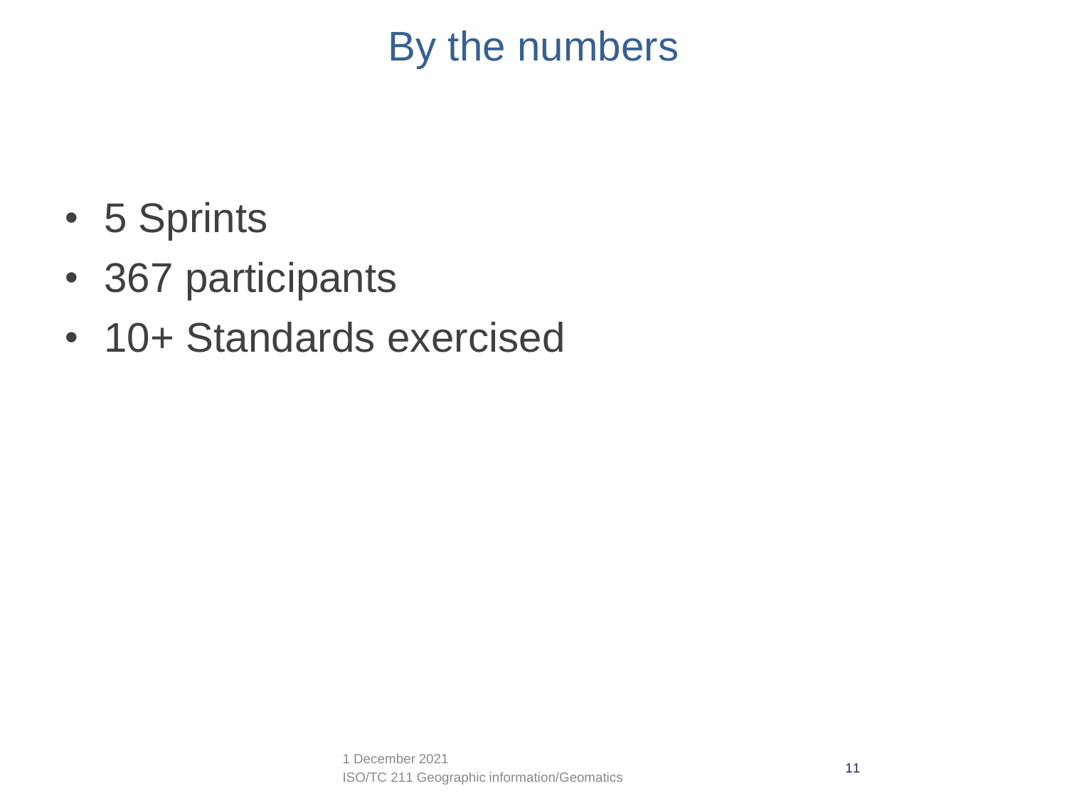### By the numbers

- 5 Sprints
- 367 participants
- 10+ Standards exercised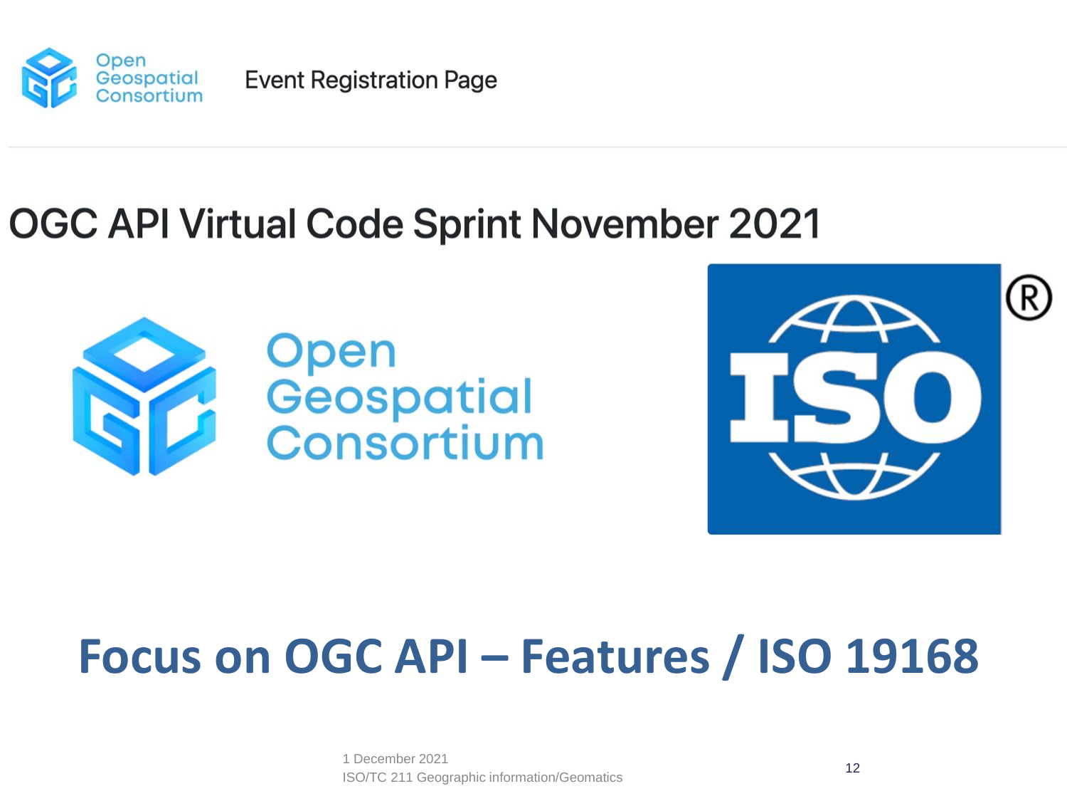

**Event Registration Page** 

### **OGC API Virtual Code Sprint November 2021**





# **Focus on OGC API – Features / ISO 19168**

ISO/TC 211 Geographic information/Geomatics 12 1 December 2021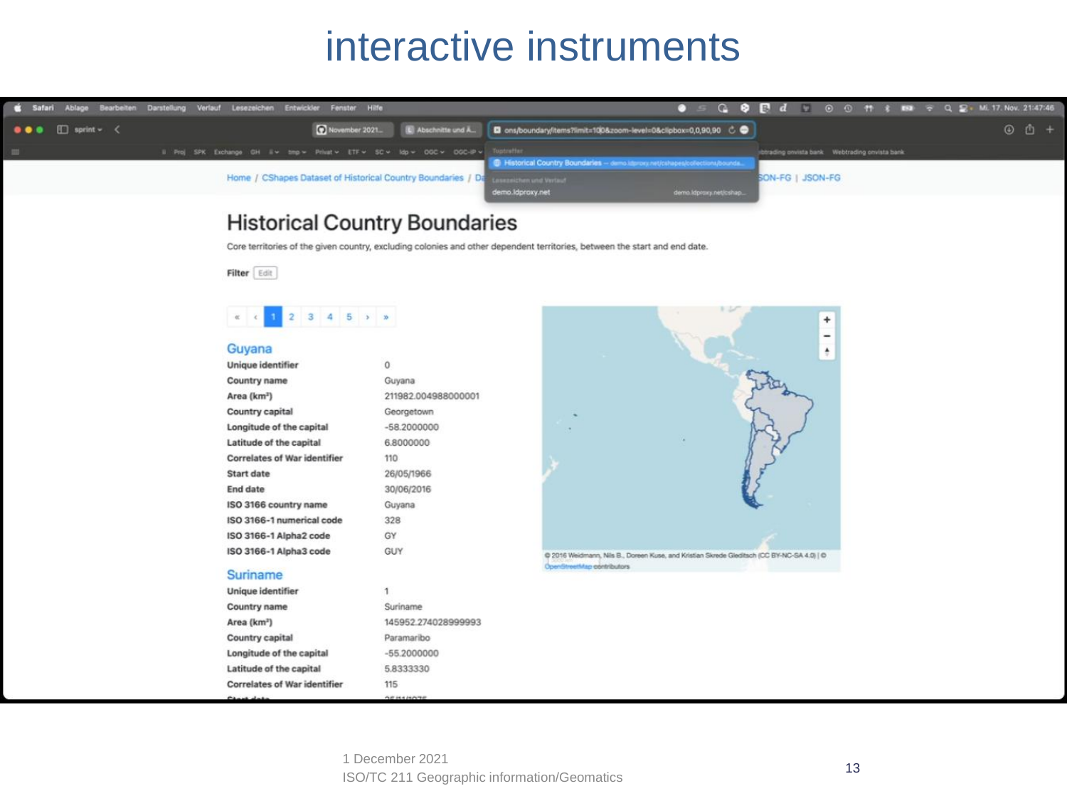#### interactive instruments



#### **Historical Country Boundaries**

Core territories of the given country, excluding colonies and other dependent territories, between the start and end date.

Filter Edit

#### $2 \quad 3 \quad 4 \quad 5 \quad \rightarrow \quad n$  $\alpha$

#### Guvana

| Unique identifier                   | $\Omega$            |
|-------------------------------------|---------------------|
| Country name                        | Guyana              |
| Area (kmª)                          | 211982.004988000001 |
| Country capital                     | Georgetown          |
| Longitude of the capital            | $-58.2000000$       |
| Latitude of the capital             | 6,8000000           |
| <b>Correlates of War identifier</b> | 110                 |
| Start date                          | 26/05/1966          |
| End date                            | 30/06/2016          |
| SO 3166 country name                | Guyana              |
| SO 3166-1 numerical code            | 328                 |
| SO 3166-1 Alpha2 code               | GY                  |
| SO 3166-1 Alpha3 code               | GUY                 |
| and the company's company's com-    |                     |

#### **Suriname**

| Unique identifier                   | 1                                   |  |  |  |  |  |
|-------------------------------------|-------------------------------------|--|--|--|--|--|
| Country name                        | Suriname                            |  |  |  |  |  |
| Area (km <sup>2</sup> )             | 145952.274028999993                 |  |  |  |  |  |
| <b>Country capital</b>              | Paramaribo                          |  |  |  |  |  |
| Longitude of the capital            | $-55.2000000$                       |  |  |  |  |  |
| Latitude of the capital             | 5.8333330                           |  |  |  |  |  |
| <b>Correlates of War identifier</b> | 115                                 |  |  |  |  |  |
| the company of the company          | the per load of discussion the per- |  |  |  |  |  |

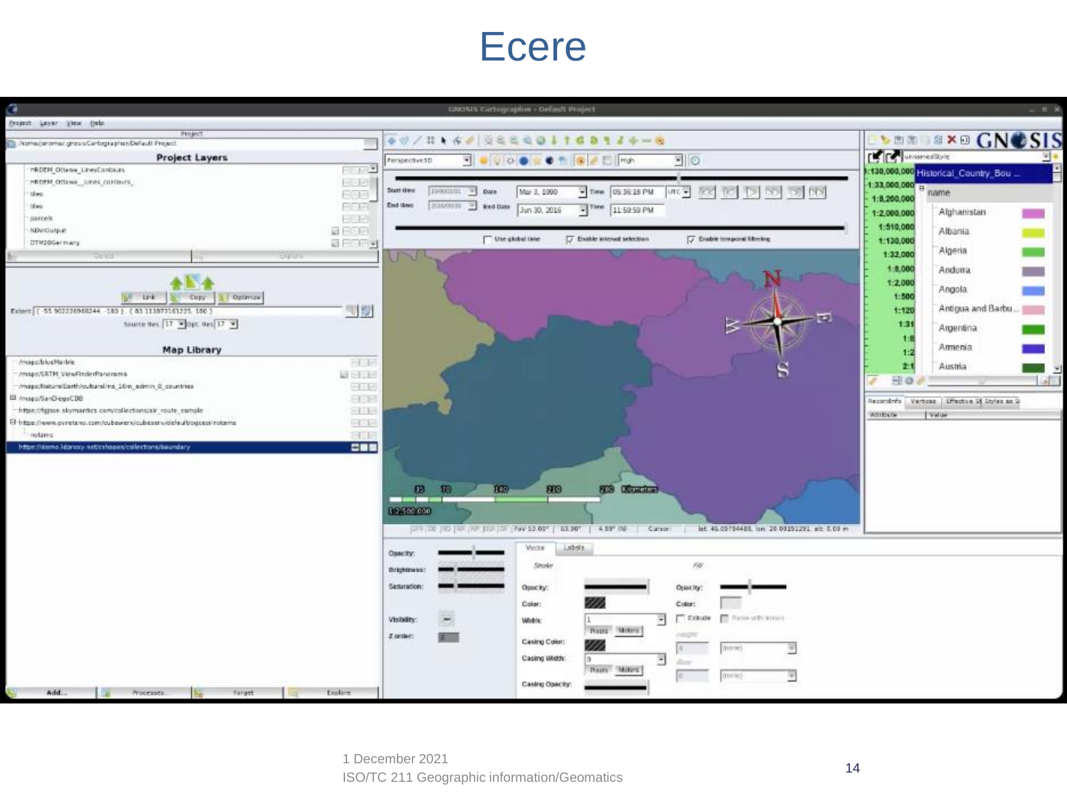#### Ecere

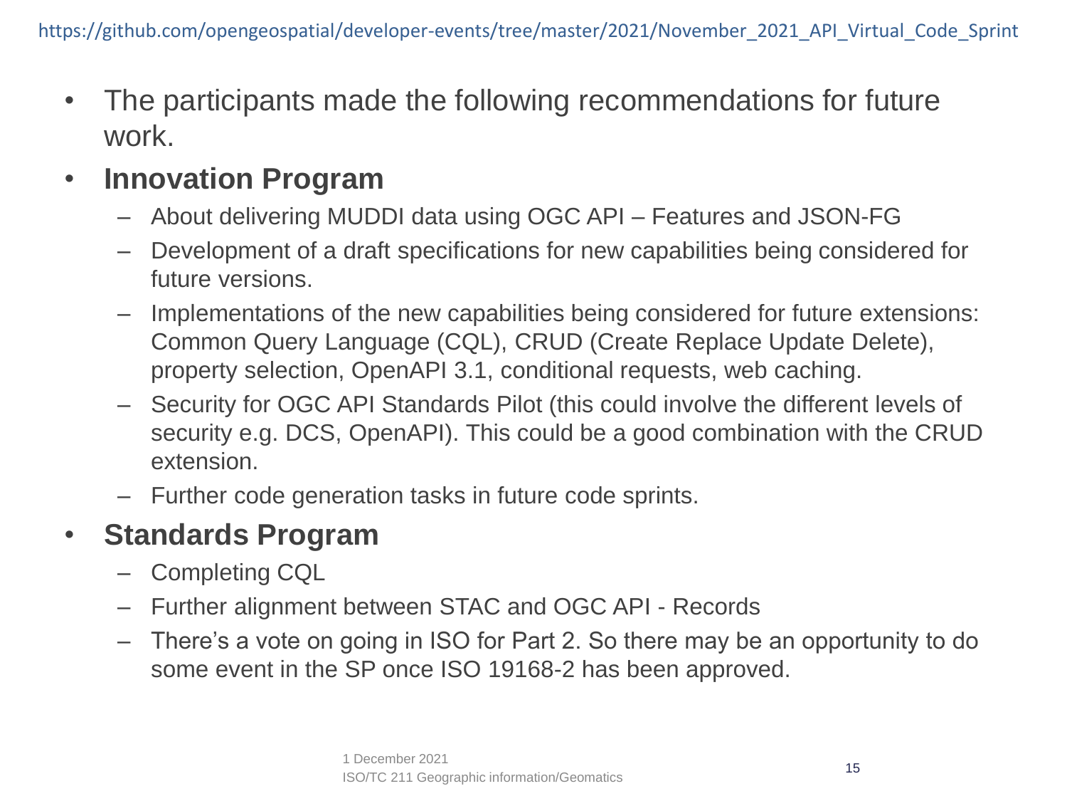• The participants made the following recommendations for future work.

#### • **Innovation Program**

- About delivering MUDDI data using OGC API Features and JSON-FG
- Development of a draft specifications for new capabilities being considered for future versions.
- Implementations of the new capabilities being considered for future extensions: Common Query Language (CQL), CRUD (Create Replace Update Delete), property selection, OpenAPI 3.1, conditional requests, web caching.
- Security for OGC API Standards Pilot (this could involve the different levels of security e.g. DCS, OpenAPI). This could be a good combination with the CRUD extension.
- Further code generation tasks in future code sprints.

#### • **Standards Program**

- Completing CQL
- Further alignment between STAC and OGC API Records
- There's a vote on going in ISO for Part 2. So there may be an opportunity to do some event in the SP once ISO 19168-2 has been approved.